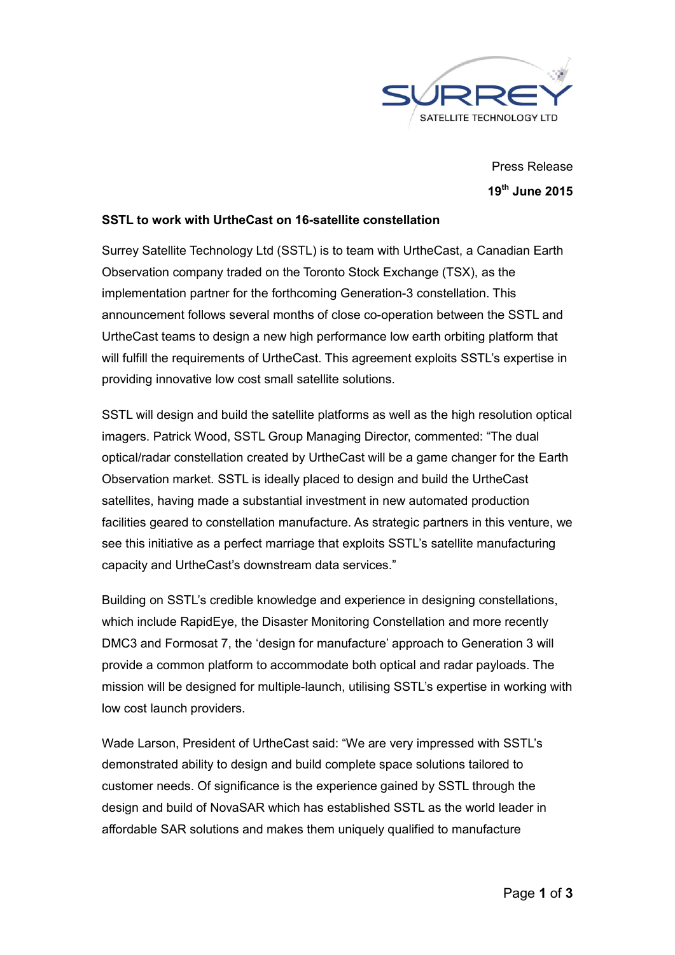

Press Release 19th June 2015

## SSTL to work with UrtheCast on 16-satellite constellation

Surrey Satellite Technology Ltd (SSTL) is to team with UrtheCast, a Canadian Earth Observation company traded on the Toronto Stock Exchange (TSX), as the implementation partner for the forthcoming Generation-3 constellation. This announcement follows several months of close co-operation between the SSTL and UrtheCast teams to design a new high performance low earth orbiting platform that will fulfill the requirements of UrtheCast. This agreement exploits SSTL's expertise in providing innovative low cost small satellite solutions.

SSTL will design and build the satellite platforms as well as the high resolution optical imagers. Patrick Wood, SSTL Group Managing Director, commented: "The dual optical/radar constellation created by UrtheCast will be a game changer for the Earth Observation market. SSTL is ideally placed to design and build the UrtheCast satellites, having made a substantial investment in new automated production facilities geared to constellation manufacture. As strategic partners in this venture, we see this initiative as a perfect marriage that exploits SSTL's satellite manufacturing capacity and UrtheCast's downstream data services."

Building on SSTL's credible knowledge and experience in designing constellations, which include RapidEye, the Disaster Monitoring Constellation and more recently DMC3 and Formosat 7, the 'design for manufacture' approach to Generation 3 will provide a common platform to accommodate both optical and radar payloads. The mission will be designed for multiple-launch, utilising SSTL's expertise in working with low cost launch providers.

Wade Larson, President of UrtheCast said: "We are very impressed with SSTL's demonstrated ability to design and build complete space solutions tailored to customer needs. Of significance is the experience gained by SSTL through the design and build of NovaSAR which has established SSTL as the world leader in affordable SAR solutions and makes them uniquely qualified to manufacture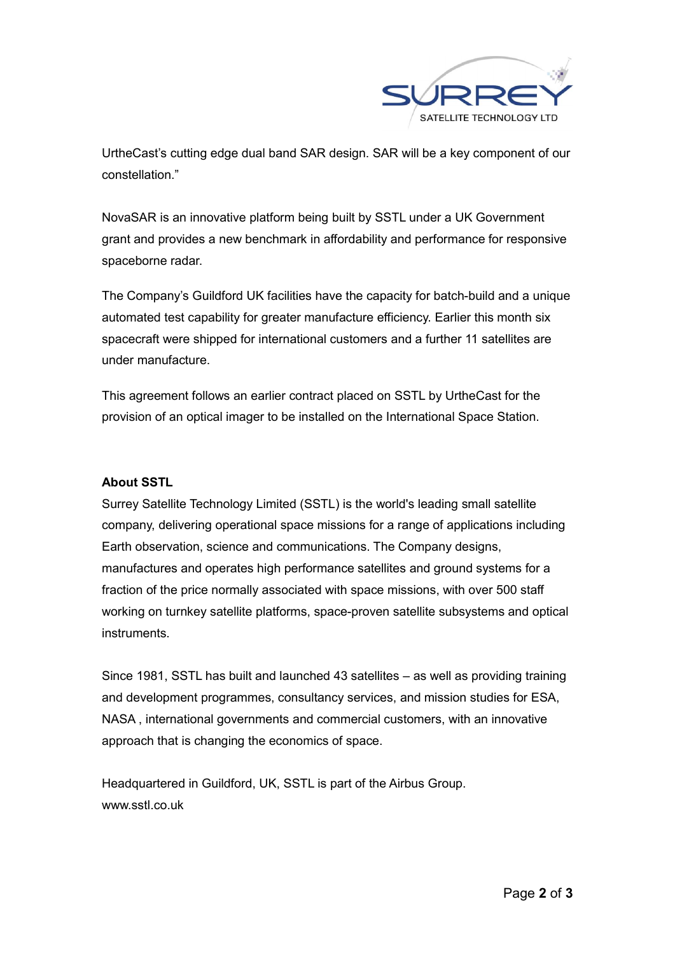

UrtheCast's cutting edge dual band SAR design. SAR will be a key component of our constellation."

NovaSAR is an innovative platform being built by SSTL under a UK Government grant and provides a new benchmark in affordability and performance for responsive spaceborne radar.

The Company's Guildford UK facilities have the capacity for batch-build and a unique automated test capability for greater manufacture efficiency. Earlier this month six spacecraft were shipped for international customers and a further 11 satellites are under manufacture.

This agreement follows an earlier contract placed on SSTL by UrtheCast for the provision of an optical imager to be installed on the International Space Station.

## About SSTL

Surrey Satellite Technology Limited (SSTL) is the world's leading small satellite company, delivering operational space missions for a range of applications including Earth observation, science and communications. The Company designs, manufactures and operates high performance satellites and ground systems for a fraction of the price normally associated with space missions, with over 500 staff working on turnkey satellite platforms, space-proven satellite subsystems and optical instruments.

Since 1981, SSTL has built and launched 43 satellites – as well as providing training and development programmes, consultancy services, and mission studies for ESA, NASA , international governments and commercial customers, with an innovative approach that is changing the economics of space.

Headquartered in Guildford, UK, SSTL is part of the Airbus Group. www.sstl.co.uk